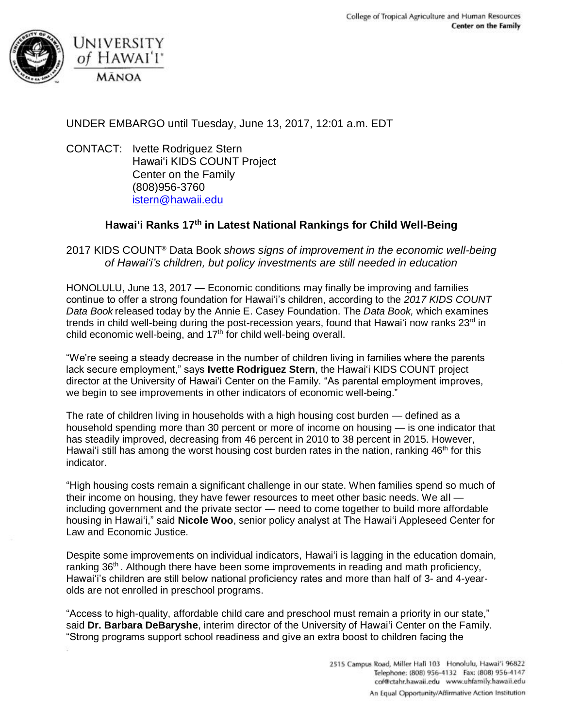

UNDER EMBARGO until Tuesday, June 13, 2017, 12:01 a.m. EDT

CONTACT: Ivette Rodriguez Stern Hawai'i KIDS COUNT Project Center on the Family (808)956-3760 [istern@hawaii.edu](mailto:istern@hawaii.edu)

## **Hawai'i Ranks 17th in Latest National Rankings for Child Well-Being**

2017 KIDS COUNT® Data Book *shows signs of improvement in the economic well-being of Hawai'i's children, but policy investments are still needed in education* 

HONOLULU, June 13, 2017 — Economic conditions may finally be improving and families continue to offer a strong foundation for Hawai'i's children, according to the *2017 KIDS COUNT Data Book* released today by the Annie E. Casey Foundation. The *Data Book,* which examines trends in child well-being during the post-recession years, found that Hawai'i now ranks  $23<sup>rd</sup>$  in child economic well-being, and 17<sup>th</sup> for child well-being overall.

"We're seeing a steady decrease in the number of children living in families where the parents lack secure employment," says **Ivette Rodriguez Stern**, the Hawai'i KIDS COUNT project director at the University of Hawai'i Center on the Family. "As parental employment improves, we begin to see improvements in other indicators of economic well-being."

The rate of children living in households with a high housing cost burden — defined as a household spending more than 30 percent or more of income on housing — is one indicator that has steadily improved, decreasing from 46 percent in 2010 to 38 percent in 2015. However, Hawai'i still has among the worst housing cost burden rates in the nation, ranking 46<sup>th</sup> for this indicator.

"High housing costs remain a significant challenge in our state. When families spend so much of their income on housing, they have fewer resources to meet other basic needs. We all including government and the private sector — need to come together to build more affordable housing in Hawai'i," said **Nicole Woo**, senior policy analyst at The Hawai'i Appleseed Center for Law and Economic Justice.

Despite some improvements on individual indicators, Hawai'i is lagging in the education domain, ranking 36<sup>th</sup>. Although there have been some improvements in reading and math proficiency, Hawai'i's children are still below national proficiency rates and more than half of 3- and 4-yearolds are not enrolled in preschool programs.

"Access to high-quality, affordable child care and preschool must remain a priority in our state," said **Dr. Barbara DeBaryshe**, interim director of the University of Hawai'i Center on the Family. "Strong programs support school readiness and give an extra boost to children facing the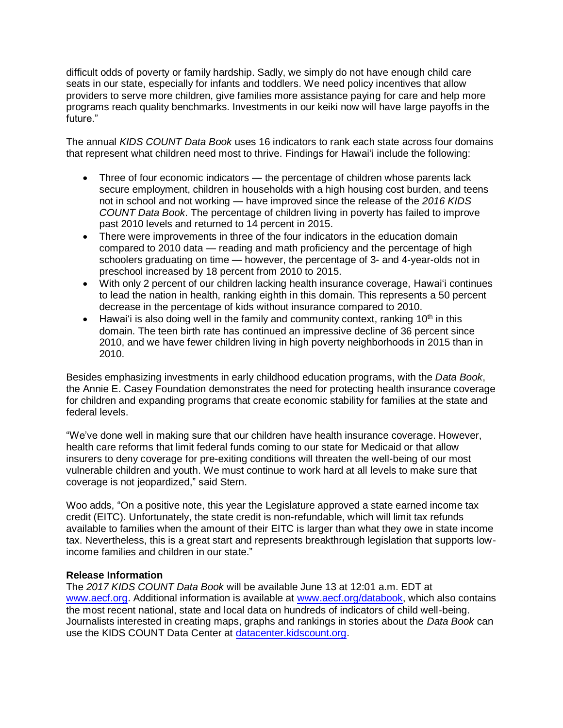difficult odds of poverty or family hardship. Sadly, we simply do not have enough child care seats in our state, especially for infants and toddlers. We need policy incentives that allow providers to serve more children, give families more assistance paying for care and help more programs reach quality benchmarks. Investments in our keiki now will have large payoffs in the future."

The annual *KIDS COUNT Data Book* uses 16 indicators to rank each state across four domains that represent what children need most to thrive. Findings for Hawai'i include the following:

- Three of four economic indicators the percentage of children whose parents lack secure employment, children in households with a high housing cost burden, and teens not in school and not working — have improved since the release of the *2016 KIDS COUNT Data Book*. The percentage of children living in poverty has failed to improve past 2010 levels and returned to 14 percent in 2015.
- There were improvements in three of the four indicators in the education domain compared to 2010 data — reading and math proficiency and the percentage of high schoolers graduating on time — however, the percentage of 3- and 4-year-olds not in preschool increased by 18 percent from 2010 to 2015.
- With only 2 percent of our children lacking health insurance coverage, Hawai'i continues to lead the nation in health, ranking eighth in this domain. This represents a 50 percent decrease in the percentage of kids without insurance compared to 2010.
- Hawai'i is also doing well in the family and community context, ranking  $10<sup>th</sup>$  in this domain. The teen birth rate has continued an impressive decline of 36 percent since 2010, and we have fewer children living in high poverty neighborhoods in 2015 than in 2010.

Besides emphasizing investments in early childhood education programs, with the *Data Book*, the Annie E. Casey Foundation demonstrates the need for protecting health insurance coverage for children and expanding programs that create economic stability for families at the state and federal levels.

"We've done well in making sure that our children have health insurance coverage. However, health care reforms that limit federal funds coming to our state for Medicaid or that allow insurers to deny coverage for pre-exiting conditions will threaten the well-being of our most vulnerable children and youth. We must continue to work hard at all levels to make sure that coverage is not jeopardized," said Stern.

Woo adds, "On a positive note, this year the Legislature approved a state earned income tax credit (EITC). Unfortunately, the state credit is non-refundable, which will limit tax refunds available to families when the amount of their EITC is larger than what they owe in state income tax. Nevertheless, this is a great start and represents breakthrough legislation that supports lowincome families and children in our state."

## **Release Information**

The *2017 KIDS COUNT Data Book* will be available June 13 at 12:01 a.m. EDT at [www.aecf.org.](http://www.aecf.org/) Additional information is available at [www.aecf.org/databook,](http://www.aecf.org/databook) which also contains the most recent national, state and local data on hundreds of indicators of child well-being. Journalists interested in creating maps, graphs and rankings in stories about the *Data Book* can use the KIDS COUNT Data Center at [datacenter.kidscount.org.](http://datacenter.kidscount.org/)